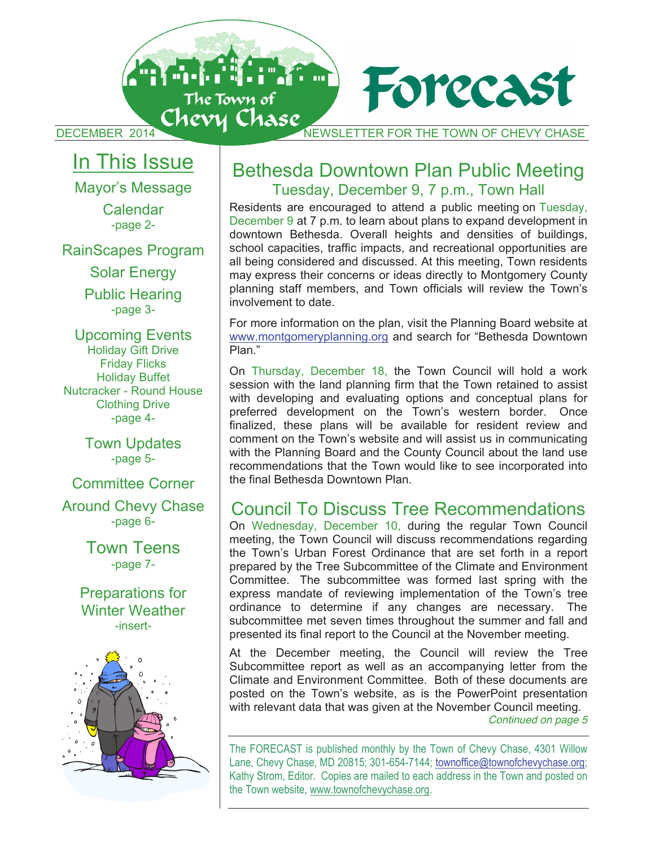Antonio de la propiedad de la partida de la partida de la partida de la partida de la partida de la partida de Forecast The Town of<br>DECEMBER 2014 CHOVY CHASE

# In This Issue

Mayor's Message

Calendar -page 2-

RainScapes Program

Solar Energy

Public Hearing -page 3-

Upcoming Events Holiday Gift Drive Friday Flicks Holiday Buffet Nutcracker - Round House Clothing Drive -page 4-

> Town Updates -page 5-

Committee Corner Around Chevy Chase -page 6-

> Town Teens -page 7-

Preparations for Winter Weather -insert-



# Bethesda Downtown Plan Public Meeting Tuesday, December 9, 7 p.m., Town Hall

Residents are encouraged to attend a public meeting on Tuesday, December 9 at 7 p.m. to learn about plans to expand development in downtown Bethesda. Overall heights and densities of buildings, school capacities, traffic impacts, and recreational opportunities are all being considered and discussed. At this meeting, Town residents may express their concerns or ideas directly to Montgomery County planning staff members, and Town officials will review the Town's involvement to date.

For more information on the plan, visit the Planning Board website at www.montgomeryplanning.org and search for "Bethesda Downtown Plan."

On Thursday, December 18, the Town Council will hold a work session with the land planning firm that the Town retained to assist with developing and evaluating options and conceptual plans for preferred development on the Town's western border. Once finalized, these plans will be available for resident review and comment on the Town's website and will assist us in communicating with the Planning Board and the County Council about the land use recommendations that the Town would like to see incorporated into the final Bethesda Downtown Plan.

# Council To Discuss Tree Recommendations

On Wednesday, December 10, during the regular Town Council meeting, the Town Council will discuss recommendations regarding the Town's Urban Forest Ordinance that are set forth in a report prepared by the Tree Subcommittee of the Climate and Environment Committee. The subcommittee was formed last spring with the express mandate of reviewing implementation of the Town's tree ordinance to determine if any changes are necessary. The subcommittee met seven times throughout the summer and fall and presented its final report to the Council at the November meeting.

At the December meeting, the Council will review the Tree Subcommittee report as well as an accompanying letter from the Climate and Environment Committee. Both of these documents are posted on the Town's website, as is the PowerPoint presentation with relevant data that was given at the November Council meeting. *Continued on page 5* 

The FORECAST is published monthly by the Town of Chevy Chase, 4301 Willow Lane, Chevy Chase, MD 20815; 301-654-7144; townoffice@townofchevychase.org; Kathy Strom, Editor. Copies are mailed to each address in the Town and posted on the Town website, www.townofchevychase.org.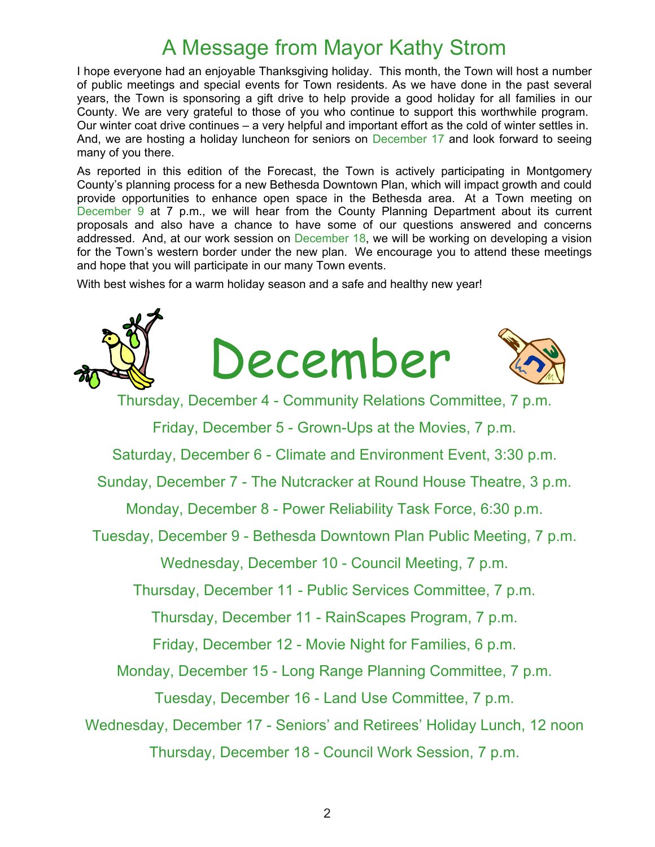# A Message from Mayor Kathy Strom

I hope everyone had an enjoyable Thanksgiving holiday. This month, the Town will host a number of public meetings and special events for Town residents. As we have done in the past several years, the Town is sponsoring a gift drive to help provide a good holiday for all families in our County. We are very grateful to those of you who continue to support this worthwhile program. Our winter coat drive continues – a very helpful and important effort as the cold of winter settles in. And, we are hosting a holiday luncheon for seniors on December 17 and look forward to seeing many of you there.

As reported in this edition of the Forecast, the Town is actively participating in Montgomery County's planning process for a new Bethesda Downtown Plan, which will impact growth and could provide opportunities to enhance open space in the Bethesda area. At a Town meeting on December 9 at 7 p.m., we will hear from the County Planning Department about its current proposals and also have a chance to have some of our questions answered and concerns addressed. And, at our work session on December 18, we will be working on developing a vision for the Town's western border under the new plan. We encourage you to attend these meetings and hope that you will participate in our many Town events.

With best wishes for a warm holiday season and a safe and healthy new year!

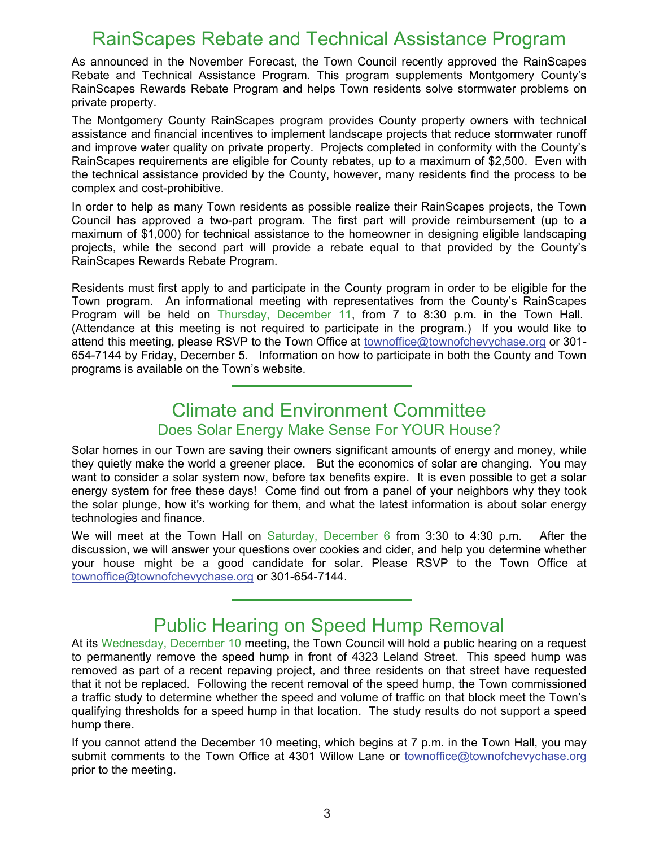# RainScapes Rebate and Technical Assistance Program

As announced in the November Forecast, the Town Council recently approved the RainScapes Rebate and Technical Assistance Program. This program supplements Montgomery County's RainScapes Rewards Rebate Program and helps Town residents solve stormwater problems on private property.

The Montgomery County RainScapes program provides County property owners with technical assistance and financial incentives to implement landscape projects that reduce stormwater runoff and improve water quality on private property. Projects completed in conformity with the County's RainScapes requirements are eligible for County rebates, up to a maximum of \$2,500. Even with the technical assistance provided by the County, however, many residents find the process to be complex and cost-prohibitive.

In order to help as many Town residents as possible realize their RainScapes projects, the Town Council has approved a two-part program. The first part will provide reimbursement (up to a maximum of \$1,000) for technical assistance to the homeowner in designing eligible landscaping projects, while the second part will provide a rebate equal to that provided by the County's RainScapes Rewards Rebate Program.

Residents must first apply to and participate in the County program in order to be eligible for the Town program. An informational meeting with representatives from the County's RainScapes Program will be held on Thursday, December 11, from 7 to 8:30 p.m. in the Town Hall. (Attendance at this meeting is not required to participate in the program.) If you would like to attend this meeting, please RSVP to the Town Office at townoffice@townofchevychase.org or 301- 654-7144 by Friday, December 5. Information on how to participate in both the County and Town programs is available on the Town's website.

# Climate and Environment Committee Does Solar Energy Make Sense For YOUR House?

Solar homes in our Town are saving their owners significant amounts of energy and money, while they quietly make the world a greener place. But the economics of solar are changing. You may want to consider a solar system now, before tax benefits expire. It is even possible to get a solar energy system for free these days! Come find out from a panel of your neighbors why they took the solar plunge, how it's working for them, and what the latest information is about solar energy technologies and finance.

We will meet at the Town Hall on Saturday, December 6 from 3:30 to 4:30 p.m. After the discussion, we will answer your questions over cookies and cider, and help you determine whether your house might be a good candidate for solar. Please RSVP to the Town Office at townoffice@townofchevychase.org or 301-654-7144.

# Public Hearing on Speed Hump Removal

At its Wednesday, December 10 meeting, the Town Council will hold a public hearing on a request to permanently remove the speed hump in front of 4323 Leland Street. This speed hump was removed as part of a recent repaving project, and three residents on that street have requested that it not be replaced. Following the recent removal of the speed hump, the Town commissioned a traffic study to determine whether the speed and volume of traffic on that block meet the Town's qualifying thresholds for a speed hump in that location. The study results do not support a speed hump there.

If you cannot attend the December 10 meeting, which begins at 7 p.m. in the Town Hall, you may submit comments to the Town Office at 4301 Willow Lane or townoffice@townofchevychase.org prior to the meeting.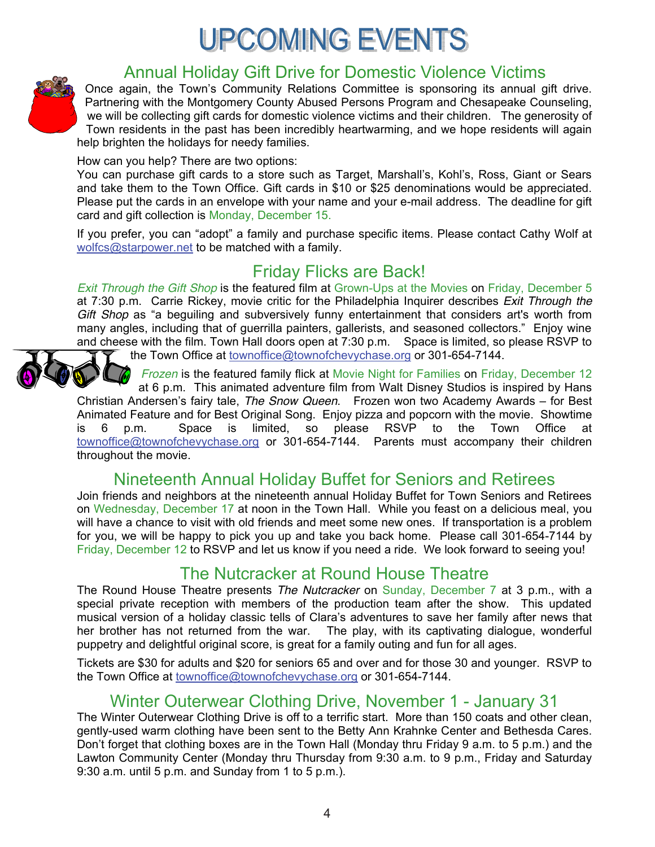# **UPCOMING EVENTS**



# Annual Holiday Gift Drive for Domestic Violence Victims

Once again, the Town's Community Relations Committee is sponsoring its annual gift drive. Partnering with the Montgomery County Abused Persons Program and Chesapeake Counseling, we will be collecting gift cards for domestic violence victims and their children. The generosity of Town residents in the past has been incredibly heartwarming, and we hope residents will again help brighten the holidays for needy families.

How can you help? There are two options:

You can purchase gift cards to a store such as Target, Marshall's, Kohl's, Ross, Giant or Sears and take them to the Town Office. Gift cards in \$10 or \$25 denominations would be appreciated. Please put the cards in an envelope with your name and your e-mail address. The deadline for gift card and gift collection is Monday, December 15.

If you prefer, you can "adopt" a family and purchase specific items. Please contact Cathy Wolf at wolfcs@starpower.net to be matched with a family.

# Friday Flicks are Back!

*Exit Through the Gift Shop* is the featured film at Grown-Ups at the Movies on Friday, December 5 at 7:30 p.m. Carrie Rickey, movie critic for the Philadelphia Inquirer describes *Exit Through the Gift Shop* as "a beguiling and subversively funny entertainment that considers art's worth from many angles, including that of guerrilla painters, gallerists, and seasoned collectors." Enjoy wine and cheese with the film. Town Hall doors open at 7:30 p.m. Space is limited, so please RSVP to

the Town Office at townoffice@townofchevychase.org or 301-654-7144.

*Frozen* is the featured family flick at Movie Night for Families on Friday, December 12 at 6 p.m. This animated adventure film from Walt Disney Studios is inspired by Hans Christian Andersen's fairy tale, *The Snow Queen*. Frozen won two Academy Awards – for Best Animated Feature and for Best Original Song. Enjoy pizza and popcorn with the movie. Showtime<br>is 6 p.m. Space is limited, so please RSVP to the Town Office at is 6 p.m. Space is limited, so please RSVP to the Town Office at townoffice@townofchevychase.org or 301-654-7144. Parents must accompany their children throughout the movie.

Nineteenth Annual Holiday Buffet for Seniors and Retirees

Join friends and neighbors at the nineteenth annual Holiday Buffet for Town Seniors and Retirees on Wednesday, December 17 at noon in the Town Hall. While you feast on a delicious meal, you will have a chance to visit with old friends and meet some new ones. If transportation is a problem for you, we will be happy to pick you up and take you back home. Please call 301-654-7144 by Friday, December 12 to RSVP and let us know if you need a ride. We look forward to seeing you!

# The Nutcracker at Round House Theatre

The Round House Theatre presents *The Nutcracker* on Sunday, December 7 at 3 p.m., with a special private reception with members of the production team after the show. This updated musical version of a holiday classic tells of Clara's adventures to save her family after news that her brother has not returned from the war. The play, with its captivating dialogue, wonderful puppetry and delightful original score, is great for a family outing and fun for all ages.

Tickets are \$30 for adults and \$20 for seniors 65 and over and for those 30 and younger. RSVP to the Town Office at townoffice@townofchevychase.org or 301-654-7144.

# Winter Outerwear Clothing Drive, November 1 - January 31

The Winter Outerwear Clothing Drive is off to a terrific start. More than 150 coats and other clean, gently-used warm clothing have been sent to the Betty Ann Krahnke Center and Bethesda Cares. Don't forget that clothing boxes are in the Town Hall (Monday thru Friday 9 a.m. to 5 p.m.) and the Lawton Community Center (Monday thru Thursday from 9:30 a.m. to 9 p.m., Friday and Saturday 9:30 a.m. until 5 p.m. and Sunday from 1 to 5 p.m.).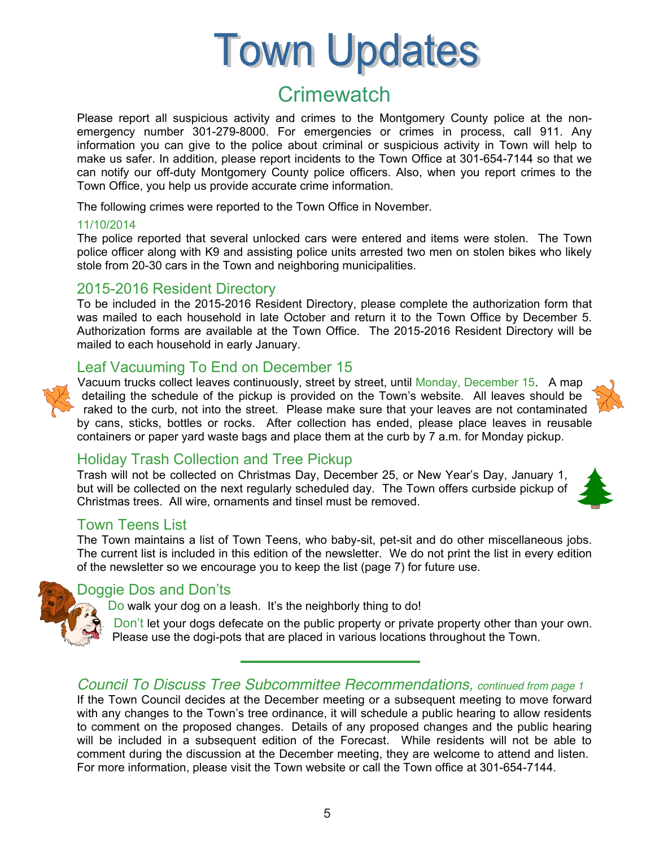# **Town Updates**

# **Crimewatch**

Please report all suspicious activity and crimes to the Montgomery County police at the nonemergency number 301-279-8000. For emergencies or crimes in process, call 911. Any information you can give to the police about criminal or suspicious activity in Town will help to make us safer. In addition, please report incidents to the Town Office at 301-654-7144 so that we can notify our off-duty Montgomery County police officers. Also, when you report crimes to the Town Office, you help us provide accurate crime information.

The following crimes were reported to the Town Office in November.

#### 11/10/2014

The police reported that several unlocked cars were entered and items were stolen. The Town police officer along with K9 and assisting police units arrested two men on stolen bikes who likely stole from 20-30 cars in the Town and neighboring municipalities.

### 2015-2016 Resident Directory

To be included in the 2015-2016 Resident Directory, please complete the authorization form that was mailed to each household in late October and return it to the Town Office by December 5. Authorization forms are available at the Town Office. The 2015-2016 Resident Directory will be mailed to each household in early January.

# Leaf Vacuuming To End on December 15



Vacuum trucks collect leaves continuously, street by street, until Monday, December 15. A map detailing the schedule of the pickup is provided on the Town's website. All leaves should be raked to the curb, not into the street. Please make sure that your leaves are not contaminated by cans, sticks, bottles or rocks. After collection has ended, please place leaves in reusable containers or paper yard waste bags and place them at the curb by 7 a.m. for Monday pickup.

## Holiday Trash Collection and Tree Pickup

Trash will not be collected on Christmas Day, December 25, or New Year's Day, January 1, but will be collected on the next regularly scheduled day. The Town offers curbside pickup of Christmas trees. All wire, ornaments and tinsel must be removed.

#### Town Teens List

The Town maintains a list of Town Teens, who baby-sit, pet-sit and do other miscellaneous jobs. The current list is included in this edition of the newsletter. We do not print the list in every edition of the newsletter so we encourage you to keep the list (page 7) for future use.



### Doggie Dos and Don'ts

Do walk your dog on a leash. It's the neighborly thing to do!

Don't let your dogs defecate on the public property or private property other than your own. Please use the dogi-pots that are placed in various locations throughout the Town.

## *Council To Discuss Tree Subcommittee Recommendations, continued from page 1*

If the Town Council decides at the December meeting or a subsequent meeting to move forward with any changes to the Town's tree ordinance, it will schedule a public hearing to allow residents to comment on the proposed changes. Details of any proposed changes and the public hearing will be included in a subsequent edition of the Forecast. While residents will not be able to comment during the discussion at the December meeting, they are welcome to attend and listen. For more information, please visit the Town website or call the Town office at 301-654-7144.

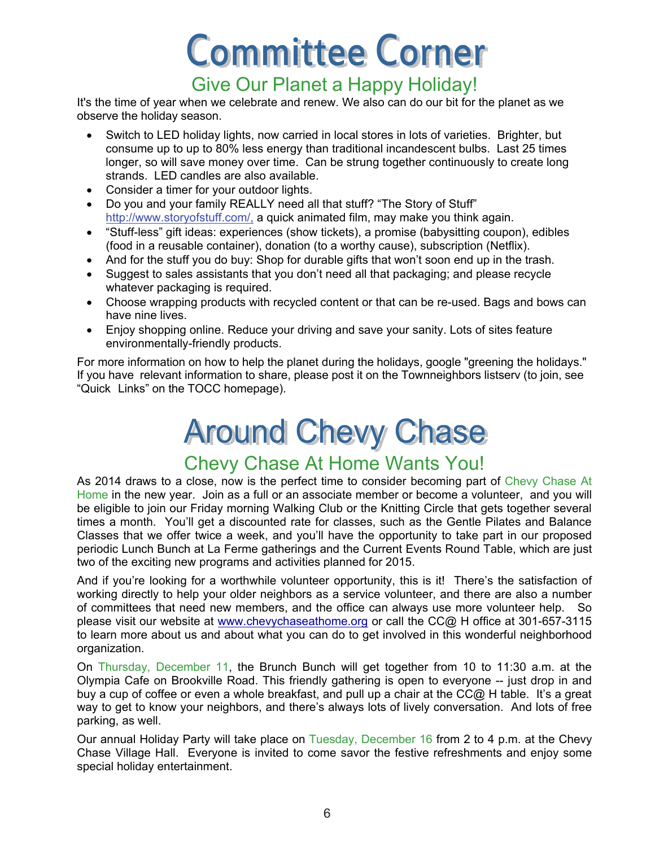# **Committee Corner**

# Give Our Planet a Happy Holiday!

It's the time of year when we celebrate and renew. We also can do our bit for the planet as we observe the holiday season.

- Switch to LED holiday lights, now carried in local stores in lots of varieties. Brighter, but consume up to up to 80% less energy than traditional incandescent bulbs. Last 25 times longer, so will save money over time. Can be strung together continuously to create long strands. LED candles are also available.
- Consider a timer for your outdoor lights.
- Do you and your family REALLY need all that stuff? "The Story of Stuff" http://www.storyofstuff.com/, a quick animated film, may make you think again.
- "Stuff-less" gift ideas: experiences (show tickets), a promise (babysitting coupon), edibles (food in a reusable container), donation (to a worthy cause), subscription (Netflix).
- And for the stuff you do buy: Shop for durable gifts that won't soon end up in the trash.
- Suggest to sales assistants that you don't need all that packaging; and please recycle whatever packaging is required.
- Choose wrapping products with recycled content or that can be re-used. Bags and bows can have nine lives.
- Enjoy shopping online. Reduce your driving and save your sanity. Lots of sites feature environmentally-friendly products.

For more information on how to help the planet during the holidays, google "greening the holidays." If you have relevant information to share, please post it on the Townneighbors listserv (to join, see "Quick Links" on the TOCC homepage).

# **Around Chevy Chase**

# Chevy Chase At Home Wants You!

As 2014 draws to a close, now is the perfect time to consider becoming part of Chevy Chase At Home in the new year. Join as a full or an associate member or become a volunteer, and you will be eligible to join our Friday morning Walking Club or the Knitting Circle that gets together several times a month. You'll get a discounted rate for classes, such as the Gentle Pilates and Balance Classes that we offer twice a week, and you'll have the opportunity to take part in our proposed periodic Lunch Bunch at La Ferme gatherings and the Current Events Round Table, which are just two of the exciting new programs and activities planned for 2015.

And if you're looking for a worthwhile volunteer opportunity, this is it! There's the satisfaction of working directly to help your older neighbors as a service volunteer, and there are also a number of committees that need new members, and the office can always use more volunteer help. So please visit our website at www.chevychaseathome.org or call the CC@ H office at 301-657-3115 to learn more about us and about what you can do to get involved in this wonderful neighborhood organization.

On Thursday, December 11, the Brunch Bunch will get together from 10 to 11:30 a.m. at the Olympia Cafe on Brookville Road. This friendly gathering is open to everyone -- just drop in and buy a cup of coffee or even a whole breakfast, and pull up a chair at the CC@ H table. It's a great way to get to know your neighbors, and there's always lots of lively conversation. And lots of free parking, as well.

Our annual Holiday Party will take place on Tuesday, December 16 from 2 to 4 p.m. at the Chevy Chase Village Hall. Everyone is invited to come savor the festive refreshments and enjoy some special holiday entertainment.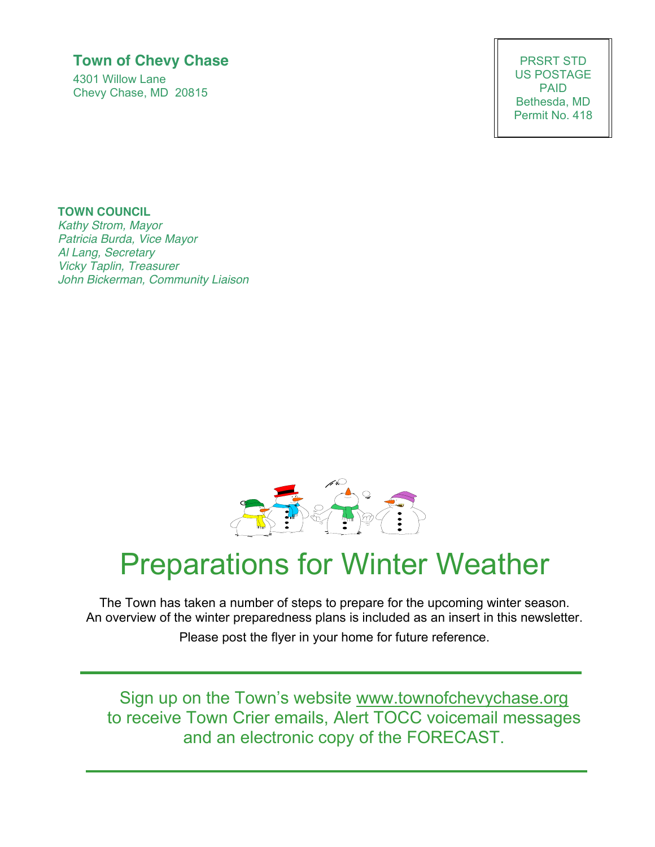# **Town of Chevy Chase**

4301 Willow Lane Chevy Chase, MD 20815

PRSRT STD US POSTAGE PAID Bethesda, MD Permit No. 418

# **TOWN COUNCIL**

*Kathy Strom, Mayor Patricia Burda, Vice Mayor Al Lang, Secretary Vicky Taplin, Treasurer John Bickerman, Community Liaison*



# Preparations for Winter Weather

The Town has taken a number of steps to prepare for the upcoming winter season. An overview of the winter preparedness plans is included as an insert in this newsletter. Please post the flyer in your home for future reference.

Sign up on the Town's website www.townofchevychase.org to receive Town Crier emails, Alert TOCC voicemail messages and an electronic copy of the FORECAST.